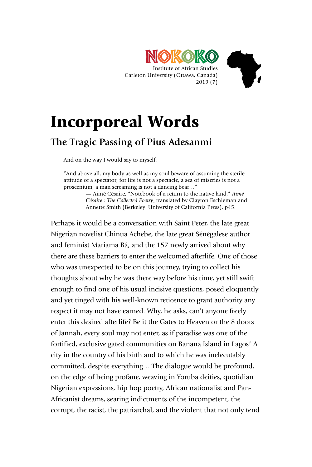



## Incorporeal Words

## **The Tragic Passing of Pius Adesanmi**

And on the way I would say to myself:

"And above all, my body as well as my soul beware of assuming the sterile attitude of a spectator, for life is not a spectacle, a sea of miseries is not a proscenium, a man screaming is not a dancing bear…"

— Aimé Césaire, "Notebook of a return to the native land," *Aimé Césaire : The Collected Poetry*¸ translated by Clayton Eschleman and Annette Smith (Berkeley: University of California Press), p45.

Perhaps it would be a conversation with Saint Peter, the late great Nigerian novelist Chinua Achebe, the late great Sénégalese author and feminist Mariama Bâ, and the 157 newly arrived about why there are these barriers to enter the welcomed afterlife. One of those who was unexpected to be on this journey, trying to collect his thoughts about why he was there way before his time, yet still swift enough to find one of his usual incisive questions, posed eloquently and yet tinged with his well-known reticence to grant authority any respect it may not have earned. Why, he asks, can't anyone freely enter this desired afterlife? Be it the Gates to Heaven or the 8 doors of Jannah, every soul may not enter, as if paradise was one of the fortified, exclusive gated communities on Banana Island in Lagos! A city in the country of his birth and to which he was inelecutably committed, despite everything… The dialogue would be profound, on the edge of being profane, weaving in Yoruba deities, quotidian Nigerian expressions, hip hop poetry, African nationalist and Pan-Africanist dreams, searing indictments of the incompetent, the corrupt, the racist, the patriarchal, and the violent that not only tend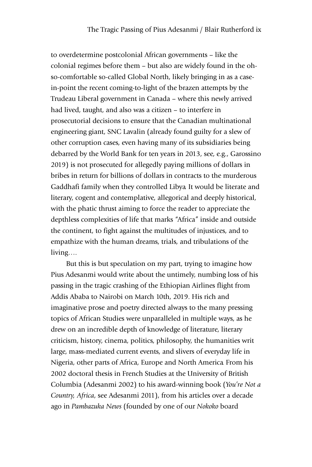to overdetermine postcolonial African governments – like the colonial regimes before them – but also are widely found in the ohso-comfortable so-called Global North, likely bringing in as a casein-point the recent coming-to-light of the brazen attempts by the Trudeau Liberal government in Canada – where this newly arrived had lived, taught, and also was a citizen – to interfere in prosecutorial decisions to ensure that the Canadian multinational engineering giant, SNC Lavalin (already found guilty for a slew of other corruption cases, even having many of its subsidiaries being debarred by the World Bank for ten years in 2013, see, e.g., Garossino 2019) is not prosecuted for allegedly paying millions of dollars in bribes in return for billions of dollars in contracts to the murderous Gaddhafi family when they controlled Libya. It would be literate and literary, cogent and contemplative, allegorical and deeply historical, with the phatic thrust aiming to force the reader to appreciate the depthless complexities of life that marks "Africa" inside and outside the continent, to fight against the multitudes of injustices, and to empathize with the human dreams, trials, and tribulations of the living….

But this is but speculation on my part, trying to imagine how Pius Adesanmi would write about the untimely, numbing loss of his passing in the tragic crashing of the Ethiopian Airlines flight from Addis Ababa to Nairobi on March 10th, 2019. His rich and imaginative prose and poetry directed always to the many pressing topics of African Studies were unparalleled in multiple ways, as he drew on an incredible depth of knowledge of literature, literary criticism, history, cinema, politics, philosophy, the humanities writ large, mass-mediated current events, and slivers of everyday life in Nigeria, other parts of Africa, Europe and North America. From his 2002 doctoral thesis in French Studies at the University of British Columbia (Adesanmi 2002) to his award-winning book (*You're Not a Country, Africa*, see Adesanmi 2011), from his articles over a decade ago in *Pambazuka News* (founded by one of our *Nokoko* board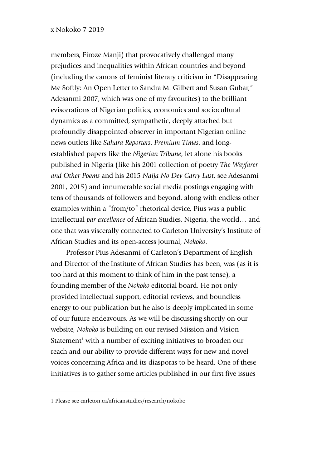members, Firoze Manji) that provocatively challenged many prejudices and inequalities within African countries and beyond (including the canons of feminist literary criticism in "Disappearing Me Softly: An Open Letter to Sandra M. Gilbert and Susan Gubar," Adesanmi 2007, which was one of my favourites) to the brilliant eviscerations of Nigerian politics, economics and sociocultural dynamics as a committed, sympathetic, deeply attached but profoundly disappointed observer in important Nigerian online news outlets like *Sahara Reporters*, *Premium Times*, and longestablished papers like the *Nigerian Tribune*, let alone his books published in Nigeria (like his 2001 collection of poetry *The Wayfarer and Other Poems* and his 2015 *Naija No Dey Carry Last*, see Adesanmi 2001, 2015) and innumerable social media postings engaging with tens of thousands of followers and beyond, along with endless other examples within a "from/to" rhetorical device, Pius was a public intellectual *par excellence* of African Studies, Nigeria, the world… and one that was viscerally connected to Carleton University's Institute of African Studies and its open-access journal, *Nokoko*.

Professor Pius Adesanmi of Carleton's Department of English and Director of the Institute of African Studies has been, was (as it is too hard at this moment to think of him in the past tense), a founding member of the *Nokoko* editorial board. He not only provided intellectual support, editorial reviews, and boundless energy to our publication but he also is deeply implicated in some of our future endeavours. As we will be discussing shortly on our website, *Nokoko* is building on our revised Mission and Vision Statement<sup>1</sup> with a number of exciting initiatives to broaden our reach and our ability to provide different ways for new and novel voices concerning Africa and its diasporas to be heard. One of these initiatives is to gather some articles published in our first five issues

-

<sup>1</sup> Please see carleton.ca/africanstudies/research/nokoko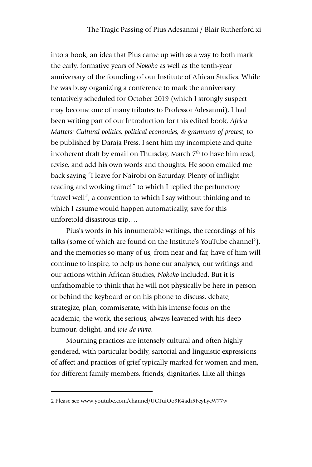into a book, an idea that Pius came up with as a way to both mark the early, formative years of *Nokoko* as well as the tenth-year anniversary of the founding of our Institute of African Studies. While he was busy organizing a conference to mark the anniversary tentatively scheduled for October 2019 (which I strongly suspect may become one of many tributes to Professor Adesanmi), I had been writing part of our Introduction for this edited book, *Africa Matters: Cultural politics, political economies, & grammars of protest*, to be published by Daraja Press. I sent him my incomplete and quite incoherent draft by email on Thursday, March  $7<sup>th</sup>$  to have him read, revise, and add his own words and thoughts. He soon emailed me back saying "I leave for Nairobi on Saturday. Plenty of inflight reading and working time!" to which I replied the perfunctory "travel well"; a convention to which I say without thinking and to which I assume would happen automatically, save for this unforetold disastrous trip….

Pius's words in his innumerable writings, the recordings of his talks (some of which are found on the Institute's YouTube channel<sup>2</sup>), and the memories so many of us, from near and far, have of him will continue to inspire, to help us hone our analyses, our writings and our actions within African Studies, *Nokoko* included. But it is unfathomable to think that he will not physically be here in person or behind the keyboard or on his phone to discuss, debate, strategize, plan, commiserate, with his intense focus on the academic, the work, the serious, always leavened with his deep humour, delight, and *joie de vivre*.

Mourning practices are intensely cultural and often highly gendered, with particular bodily, sartorial and linguistic expressions of affect and practices of grief typically marked for women and men, for different family members, friends, dignitaries. Like all things

-

<sup>2</sup> Please see www.youtube.com/channel/UCTuiOo9K4adr5FeyLycW77w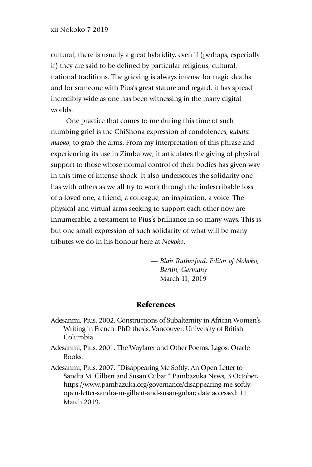cultural, there is usually a great hybridity, even if (perhaps, especially if) they are said to be defined by particular religious, cultural, national traditions. The grieving is always intense for tragic deaths and for someone with Pius's great stature and regard, it has spread incredibly wide as one has been witnessing in the many digital worlds.

One practice that comes to me during this time of such numbing grief is the ChiShona expression of condolences, *kubata maoko*, to grab the arms. From my interpretation of this phrase and experiencing its use in Zimbabwe, it articulates the giving of physical support to those whose normal control of their bodies has given way in this time of intense shock. It also underscores the solidarity one has with others as we all try to work through the indescribable loss of a loved one, a friend, a colleague, an inspiration, a voice. The physical and virtual arms seeking to support each other now are innumerable, a testament to Pius's brilliance in so many ways. This is but one small expression of such solidarity of what will be many tributes we do in his honour here at *Nokoko*.

> *— Blair Rutherford, Editor of Nokoko, Berlin, Germany*  March 11, 2019

## References

- Adesanmi, Pius. 2002. Constructions of Subalternity in African Women's Writing in French. PhD thesis. Vancouver: University of British Columbia.
- Adesanmi, Pius. 2001. The Wayfarer and Other Poems. Lagos: Oracle Books.
- Adesanmi, Pius. 2007. "Disappearing Me Softly: An Open Letter to Sandra M. Gilbert and Susan Gubar." Pambazuka News, 3 October, https://www.pambazuka.org/governance/disappearing-me-softlyopen-letter-sandra-m-gilbert-and-susan-gubar; date accessed: 11 March 2019.